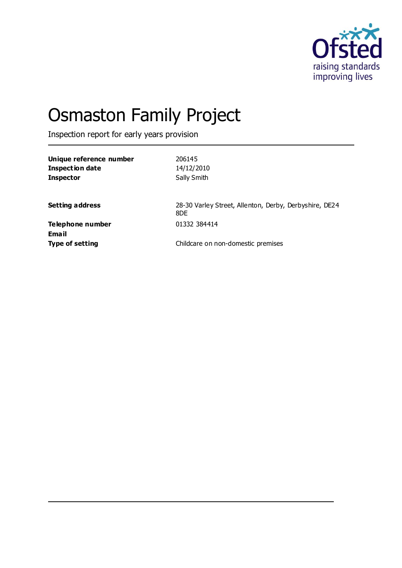

# Osmaston Family Project

Inspection report for early years provision

| Unique reference number<br><b>Inspection date</b><br><b>Inspector</b> | 206145<br>14/12/2010<br>Sally Smith                           |
|-----------------------------------------------------------------------|---------------------------------------------------------------|
| <b>Setting address</b>                                                | 28-30 Varley Street, Allenton, Derby, Derbyshire, DE24<br>8DE |
| Telephone number<br>Email                                             | 01332 384414                                                  |
| <b>Type of setting</b>                                                | Childcare on non-domestic premises                            |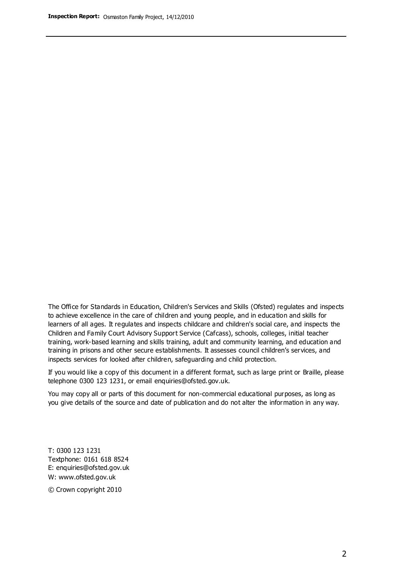The Office for Standards in Education, Children's Services and Skills (Ofsted) regulates and inspects to achieve excellence in the care of children and young people, and in education and skills for learners of all ages. It regulates and inspects childcare and children's social care, and inspects the Children and Family Court Advisory Support Service (Cafcass), schools, colleges, initial teacher training, work-based learning and skills training, adult and community learning, and education and training in prisons and other secure establishments. It assesses council children's services, and inspects services for looked after children, safeguarding and child protection.

If you would like a copy of this document in a different format, such as large print or Braille, please telephone 0300 123 1231, or email enquiries@ofsted.gov.uk.

You may copy all or parts of this document for non-commercial educational purposes, as long as you give details of the source and date of publication and do not alter the information in any way.

T: 0300 123 1231 Textphone: 0161 618 8524 E: enquiries@ofsted.gov.uk W: [www.ofsted.gov.uk](http://www.ofsted.gov.uk/)

© Crown copyright 2010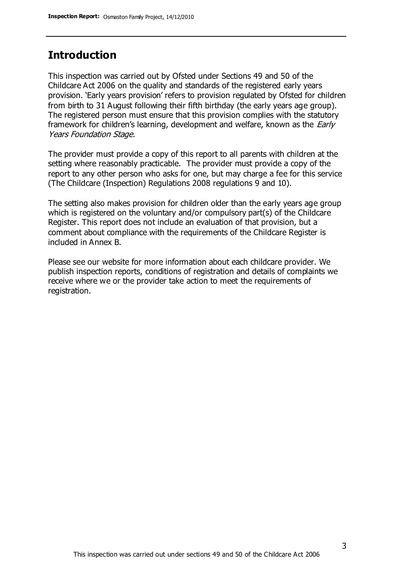## **Introduction**

This inspection was carried out by Ofsted under Sections 49 and 50 of the Childcare Act 2006 on the quality and standards of the registered early years provision. 'Early years provision' refers to provision regulated by Ofsted for children from birth to 31 August following their fifth birthday (the early years age group). The registered person must ensure that this provision complies with the statutory framework for children's learning, development and welfare, known as the *Early* Years Foundation Stage.

The provider must provide a copy of this report to all parents with children at the setting where reasonably practicable. The provider must provide a copy of the report to any other person who asks for one, but may charge a fee for this service (The Childcare (Inspection) Regulations 2008 regulations 9 and 10).

The setting also makes provision for children older than the early years age group which is registered on the voluntary and/or compulsory part(s) of the Childcare Register. This report does not include an evaluation of that provision, but a comment about compliance with the requirements of the Childcare Register is included in Annex B.

Please see our website for more information about each childcare provider. We publish inspection reports, conditions of registration and details of complaints we receive where we or the provider take action to meet the requirements of registration.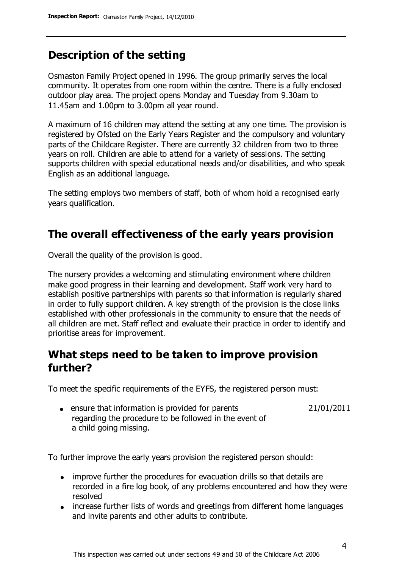# **Description of the setting**

Osmaston Family Project opened in 1996. The group primarily serves the local community. It operates from one room within the centre. There is a fully enclosed outdoor play area. The project opens Monday and Tuesday from 9.30am to 11.45am and 1.00pm to 3.00pm all year round.

A maximum of 16 children may attend the setting at any one time. The provision is registered by Ofsted on the Early Years Register and the compulsory and voluntary parts of the Childcare Register. There are currently 32 children from two to three years on roll. Children are able to attend for a variety of sessions. The setting supports children with special educational needs and/or disabilities, and who speak English as an additional language.

The setting employs two members of staff, both of whom hold a recognised early years qualification.

# **The overall effectiveness of the early years provision**

Overall the quality of the provision is good.

The nursery provides a welcoming and stimulating environment where children make good progress in their learning and development. Staff work very hard to establish positive partnerships with parents so that information is regularly shared in order to fully support children. A key strength of the provision is the close links established with other professionals in the community to ensure that the needs of all children are met. Staff reflect and evaluate their practice in order to identify and prioritise areas for improvement.

# **What steps need to be taken to improve provision further?**

To meet the specific requirements of the EYFS, the registered person must:

• ensure that information is provided for parents regarding the procedure to be followed in the event of a child going missing. 21/01/2011

To further improve the early years provision the registered person should:

- improve further the procedures for evacuation drills so that details are recorded in a fire log book, of any problems encountered and how they were resolved
- increase further lists of words and greetings from different home languages and invite parents and other adults to contribute.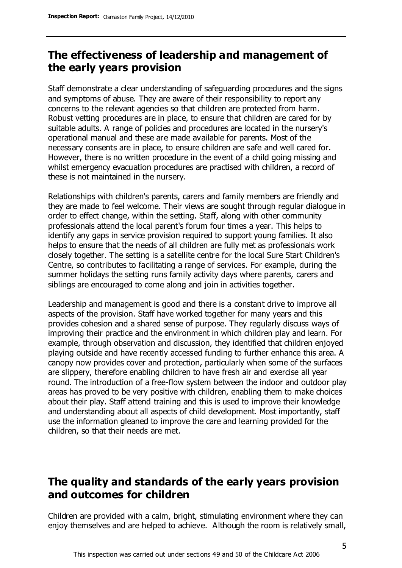# **The effectiveness of leadership and management of the early years provision**

Staff demonstrate a clear understanding of safeguarding procedures and the signs and symptoms of abuse. They are aware of their responsibility to report any concerns to the relevant agencies so that children are protected from harm. Robust vetting procedures are in place, to ensure that children are cared for by suitable adults. A range of policies and procedures are located in the nursery's operational manual and these are made available for parents. Most of the necessary consents are in place, to ensure children are safe and well cared for. However, there is no written procedure in the event of a child going missing and whilst emergency evacuation procedures are practised with children, a record of these is not maintained in the nursery.

Relationships with children's parents, carers and family members are friendly and they are made to feel welcome. Their views are sought through regular dialogue in order to effect change, within the setting. Staff, along with other community professionals attend the local parent's forum four times a year. This helps to identify any gaps in service provision required to support young families. It also helps to ensure that the needs of all children are fully met as professionals work closely together. The setting is a satellite centre for the local Sure Start Children's Centre, so contributes to facilitating a range of services. For example, during the summer holidays the setting runs family activity days where parents, carers and siblings are encouraged to come along and join in activities together.

Leadership and management is good and there is a constant drive to improve all aspects of the provision. Staff have worked together for many years and this provides cohesion and a shared sense of purpose. They regularly discuss ways of improving their practice and the environment in which children play and learn. For example, through observation and discussion, they identified that children enjoyed playing outside and have recently accessed funding to further enhance this area. A canopy now provides cover and protection, particularly when some of the surfaces are slippery, therefore enabling children to have fresh air and exercise all year round. The introduction of a free-flow system between the indoor and outdoor play areas has proved to be very positive with children, enabling them to make choices about their play. Staff attend training and this is used to improve their knowledge and understanding about all aspects of child development. Most importantly, staff use the information gleaned to improve the care and learning provided for the children, so that their needs are met.

# **The quality and standards of the early years provision and outcomes for children**

Children are provided with a calm, bright, stimulating environment where they can enjoy themselves and are helped to achieve. Although the room is relatively small,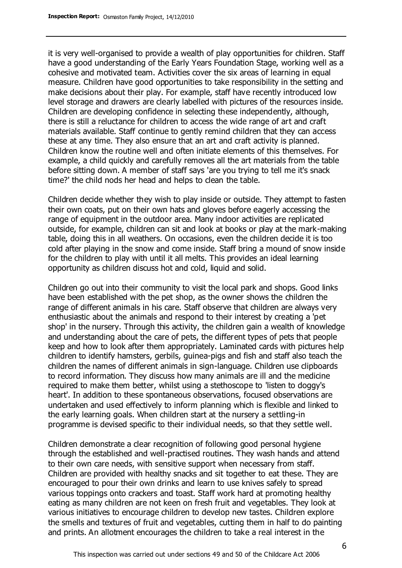it is very well-organised to provide a wealth of play opportunities for children. Staff have a good understanding of the Early Years Foundation Stage, working well as a cohesive and motivated team. Activities cover the six areas of learning in equal measure. Children have good opportunities to take responsibility in the setting and make decisions about their play. For example, staff have recently introduced low level storage and drawers are clearly labelled with pictures of the resources inside. Children are developing confidence in selecting these independently, although, there is still a reluctance for children to access the wide range of art and craft materials available. Staff continue to gently remind children that they can access these at any time. They also ensure that an art and craft activity is planned. Children know the routine well and often initiate elements of this themselves. For example, a child quickly and carefully removes all the art materials from the table before sitting down. A member of staff says 'are you trying to tell me it's snack time?' the child nods her head and helps to clean the table.

Children decide whether they wish to play inside or outside. They attempt to fasten their own coats, put on their own hats and gloves before eagerly accessing the range of equipment in the outdoor area. Many indoor activities are replicated outside, for example, children can sit and look at books or play at the mark-making table, doing this in all weathers. On occasions, even the children decide it is too cold after playing in the snow and come inside. Staff bring a mound of snow inside for the children to play with until it all melts. This provides an ideal learning opportunity as children discuss hot and cold, liquid and solid.

Children go out into their community to visit the local park and shops. Good links have been established with the pet shop, as the owner shows the children the range of different animals in his care. Staff observe that children are always very enthusiastic about the animals and respond to their interest by creating a 'pet shop' in the nursery. Through this activity, the children gain a wealth of knowledge and understanding about the care of pets, the different types of pets that people keep and how to look after them appropriately. Laminated cards with pictures help children to identify hamsters, gerbils, guinea-pigs and fish and staff also teach the children the names of different animals in sign-language. Children use clipboards to record information. They discuss how many animals are ill and the medicine required to make them better, whilst using a stethoscope to 'listen to doggy's heart'. In addition to these spontaneous observations, focused observations are undertaken and used effectively to inform planning which is flexible and linked to the early learning goals. When children start at the nursery a settling-in programme is devised specific to their individual needs, so that they settle well.

Children demonstrate a clear recognition of following good personal hygiene through the established and well-practised routines. They wash hands and attend to their own care needs, with sensitive support when necessary from staff. Children are provided with healthy snacks and sit together to eat these. They are encouraged to pour their own drinks and learn to use knives safely to spread various toppings onto crackers and toast. Staff work hard at promoting healthy eating as many children are not keen on fresh fruit and vegetables. They look at various initiatives to encourage children to develop new tastes. Children explore the smells and textures of fruit and vegetables, cutting them in half to do painting and prints. An allotment encourages the children to take a real interest in the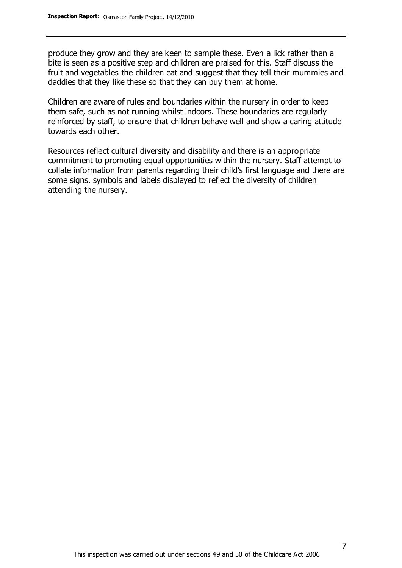produce they grow and they are keen to sample these. Even a lick rather than a bite is seen as a positive step and children are praised for this. Staff discuss the fruit and vegetables the children eat and suggest that they tell their mummies and daddies that they like these so that they can buy them at home.

Children are aware of rules and boundaries within the nursery in order to keep them safe, such as not running whilst indoors. These boundaries are regularly reinforced by staff, to ensure that children behave well and show a caring attitude towards each other.

Resources reflect cultural diversity and disability and there is an appropriate commitment to promoting equal opportunities within the nursery. Staff attempt to collate information from parents regarding their child's first language and there are some signs, symbols and labels displayed to reflect the diversity of children attending the nursery.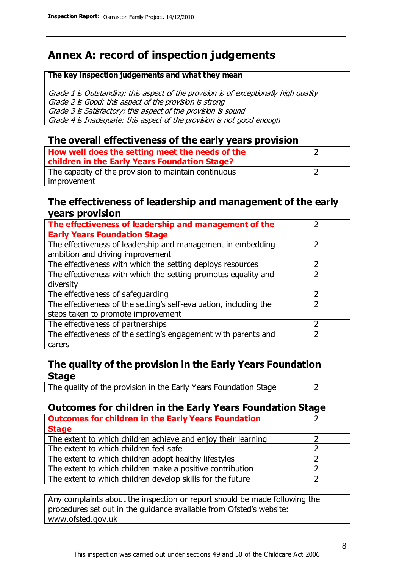# **Annex A: record of inspection judgements**

#### **The key inspection judgements and what they mean**

Grade 1 is Outstanding: this aspect of the provision is of exceptionally high quality Grade 2 is Good: this aspect of the provision is strong Grade 3 is Satisfactory: this aspect of the provision is sound Grade 4 is Inadequate: this aspect of the provision is not good enough

### **The overall effectiveness of the early years provision**

| How well does the setting meet the needs of the<br>children in the Early Years Foundation Stage? |  |
|--------------------------------------------------------------------------------------------------|--|
| The capacity of the provision to maintain continuous                                             |  |
| improvement                                                                                      |  |

### **The effectiveness of leadership and management of the early years provision**

| The effectiveness of leadership and management of the             |  |
|-------------------------------------------------------------------|--|
| <b>Early Years Foundation Stage</b>                               |  |
| The effectiveness of leadership and management in embedding       |  |
| ambition and driving improvement                                  |  |
| The effectiveness with which the setting deploys resources        |  |
| The effectiveness with which the setting promotes equality and    |  |
| diversity                                                         |  |
| The effectiveness of safeguarding                                 |  |
| The effectiveness of the setting's self-evaluation, including the |  |
| steps taken to promote improvement                                |  |
| The effectiveness of partnerships                                 |  |
| The effectiveness of the setting's engagement with parents and    |  |
| carers                                                            |  |

## **The quality of the provision in the Early Years Foundation Stage**

The quality of the provision in the Early Years Foundation Stage  $\vert$  2

## **Outcomes for children in the Early Years Foundation Stage**

| <b>Outcomes for children in the Early Years Foundation</b>    |  |
|---------------------------------------------------------------|--|
| <b>Stage</b>                                                  |  |
| The extent to which children achieve and enjoy their learning |  |
| The extent to which children feel safe                        |  |
| The extent to which children adopt healthy lifestyles         |  |
| The extent to which children make a positive contribution     |  |
| The extent to which children develop skills for the future    |  |

Any complaints about the inspection or report should be made following the procedures set out in the guidance available from Ofsted's website: www.ofsted.gov.uk